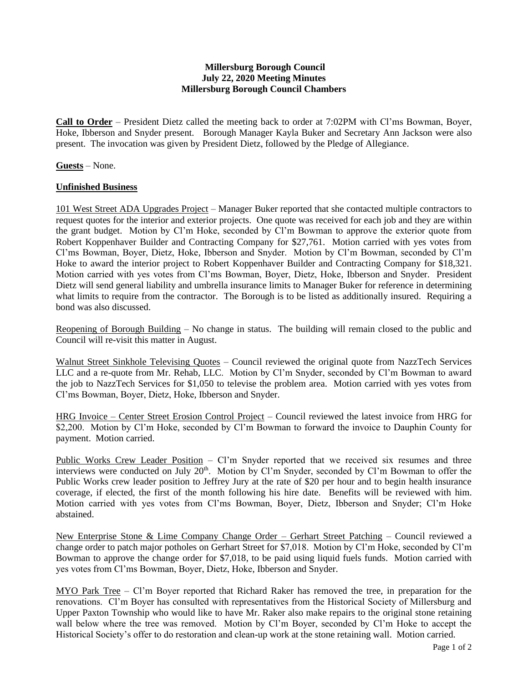## **Millersburg Borough Council July 22, 2020 Meeting Minutes Millersburg Borough Council Chambers**

**Call to Order** – President Dietz called the meeting back to order at 7:02PM with Cl'ms Bowman, Boyer, Hoke, Ibberson and Snyder present. Borough Manager Kayla Buker and Secretary Ann Jackson were also present. The invocation was given by President Dietz, followed by the Pledge of Allegiance.

**Guests** – None.

## **Unfinished Business**

101 West Street ADA Upgrades Project – Manager Buker reported that she contacted multiple contractors to request quotes for the interior and exterior projects. One quote was received for each job and they are within the grant budget. Motion by Cl'm Hoke, seconded by Cl'm Bowman to approve the exterior quote from Robert Koppenhaver Builder and Contracting Company for \$27,761. Motion carried with yes votes from Cl'ms Bowman, Boyer, Dietz, Hoke, Ibberson and Snyder. Motion by Cl'm Bowman, seconded by Cl'm Hoke to award the interior project to Robert Koppenhaver Builder and Contracting Company for \$18,321. Motion carried with yes votes from Cl'ms Bowman, Boyer, Dietz, Hoke, Ibberson and Snyder. President Dietz will send general liability and umbrella insurance limits to Manager Buker for reference in determining what limits to require from the contractor. The Borough is to be listed as additionally insured. Requiring a bond was also discussed.

Reopening of Borough Building – No change in status. The building will remain closed to the public and Council will re-visit this matter in August.

Walnut Street Sinkhole Televising Quotes – Council reviewed the original quote from NazzTech Services LLC and a re-quote from Mr. Rehab, LLC. Motion by Cl'm Snyder, seconded by Cl'm Bowman to award the job to NazzTech Services for \$1,050 to televise the problem area. Motion carried with yes votes from Cl'ms Bowman, Boyer, Dietz, Hoke, Ibberson and Snyder.

HRG Invoice – Center Street Erosion Control Project – Council reviewed the latest invoice from HRG for \$2,200. Motion by Cl'm Hoke, seconded by Cl'm Bowman to forward the invoice to Dauphin County for payment. Motion carried.

Public Works Crew Leader Position - Cl'm Snyder reported that we received six resumes and three interviews were conducted on July 20<sup>th</sup>. Motion by Cl'm Snyder, seconded by Cl'm Bowman to offer the Public Works crew leader position to Jeffrey Jury at the rate of \$20 per hour and to begin health insurance coverage, if elected, the first of the month following his hire date. Benefits will be reviewed with him. Motion carried with yes votes from Cl'ms Bowman, Boyer, Dietz, Ibberson and Snyder; Cl'm Hoke abstained.

New Enterprise Stone & Lime Company Change Order – Gerhart Street Patching – Council reviewed a change order to patch major potholes on Gerhart Street for \$7,018. Motion by Cl'm Hoke, seconded by Cl'm Bowman to approve the change order for \$7,018, to be paid using liquid fuels funds. Motion carried with yes votes from Cl'ms Bowman, Boyer, Dietz, Hoke, Ibberson and Snyder.

MYO Park Tree – Cl'm Boyer reported that Richard Raker has removed the tree, in preparation for the renovations. Cl'm Boyer has consulted with representatives from the Historical Society of Millersburg and Upper Paxton Township who would like to have Mr. Raker also make repairs to the original stone retaining wall below where the tree was removed. Motion by Cl'm Boyer, seconded by Cl'm Hoke to accept the Historical Society's offer to do restoration and clean-up work at the stone retaining wall. Motion carried.